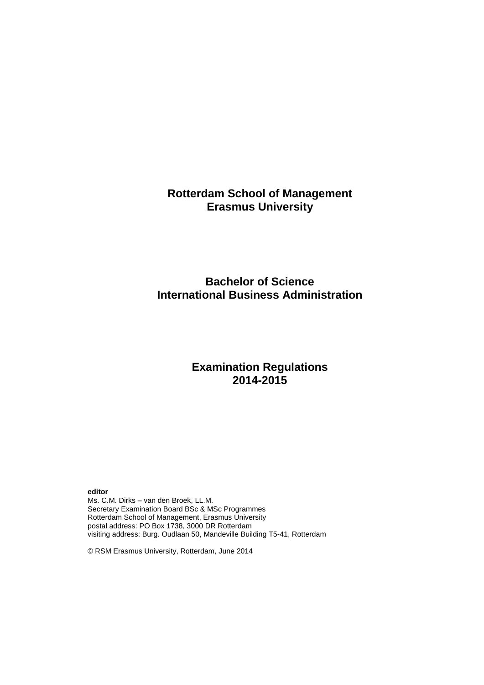# **Rotterdam School of Management Erasmus University**

# **Bachelor of Science International Business Administration**

# **Examination Regulations 2014-2015**

**editor**

Ms. C.M. Dirks – van den Broek, LL.M. Secretary Examination Board BSc & MSc Programmes Rotterdam School of Management, Erasmus University postal address: PO Box 1738, 3000 DR Rotterdam visiting address: Burg. Oudlaan 50, Mandeville Building T5-41, Rotterdam

© RSM Erasmus University, Rotterdam, June 2014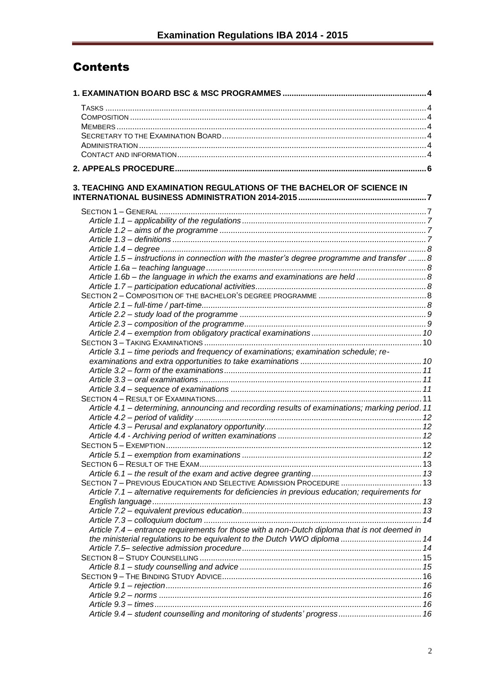# **Contents**

| 3. TEACHING AND EXAMINATION REGULATIONS OF THE BACHELOR OF SCIENCE IN                           |  |
|-------------------------------------------------------------------------------------------------|--|
|                                                                                                 |  |
|                                                                                                 |  |
|                                                                                                 |  |
|                                                                                                 |  |
|                                                                                                 |  |
|                                                                                                 |  |
| Article 1.5 – instructions in connection with the master's degree programme and transfer  8     |  |
|                                                                                                 |  |
| Article 1.6b - the language in which the exams and examinations are held  8                     |  |
|                                                                                                 |  |
|                                                                                                 |  |
|                                                                                                 |  |
|                                                                                                 |  |
|                                                                                                 |  |
|                                                                                                 |  |
|                                                                                                 |  |
| Article 3.1 - time periods and frequency of examinations; examination schedule; re-             |  |
|                                                                                                 |  |
|                                                                                                 |  |
|                                                                                                 |  |
|                                                                                                 |  |
|                                                                                                 |  |
| Article 4.1 - determining, announcing and recording results of examinations; marking period. 11 |  |
|                                                                                                 |  |
|                                                                                                 |  |
|                                                                                                 |  |
|                                                                                                 |  |
|                                                                                                 |  |
|                                                                                                 |  |
|                                                                                                 |  |
| SECTION 7 - PREVIOUS EDUCATION AND SELECTIVE ADMISSION PROCEDURE  13                            |  |
| Article 7.1 - alternative requirements for deficiencies in previous education; requirements for |  |
|                                                                                                 |  |
|                                                                                                 |  |
|                                                                                                 |  |
| Article 7.4 – entrance requirements for those with a non-Dutch diploma that is not deemed in    |  |
| the ministerial regulations to be equivalent to the Dutch VWO diploma  14                       |  |
|                                                                                                 |  |
|                                                                                                 |  |
|                                                                                                 |  |
|                                                                                                 |  |
|                                                                                                 |  |
|                                                                                                 |  |
|                                                                                                 |  |
| Article 9.4 - student counselling and monitoring of students' progress 16                       |  |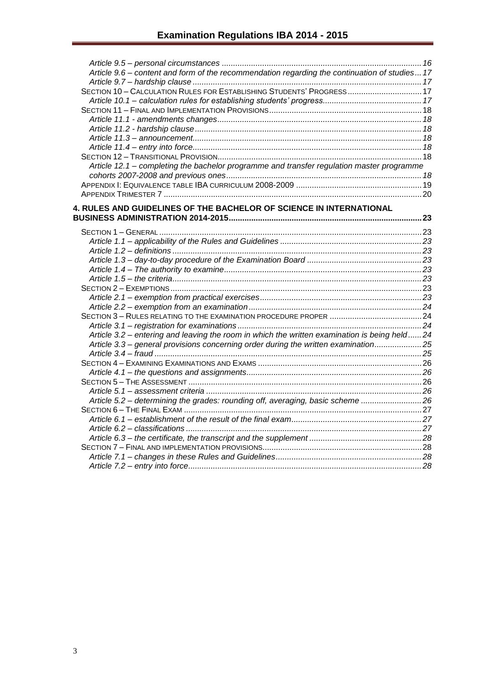| Article 9.6 - content and form of the recommendation regarding the continuation of studies 17 |  |
|-----------------------------------------------------------------------------------------------|--|
|                                                                                               |  |
| SECTION 10 - CALCULATION RULES FOR ESTABLISHING STUDENTS' PROGRESS 17                         |  |
|                                                                                               |  |
|                                                                                               |  |
|                                                                                               |  |
|                                                                                               |  |
|                                                                                               |  |
|                                                                                               |  |
|                                                                                               |  |
| Article 12.1 - completing the bachelor programme and transfer regulation master programme     |  |
|                                                                                               |  |
|                                                                                               |  |
|                                                                                               |  |
| 4. RULES AND GUIDELINES OF THE BACHELOR OF SCIENCE IN INTERNATIONAL                           |  |
|                                                                                               |  |
|                                                                                               |  |
|                                                                                               |  |
|                                                                                               |  |
|                                                                                               |  |
|                                                                                               |  |
|                                                                                               |  |
|                                                                                               |  |
|                                                                                               |  |
|                                                                                               |  |
|                                                                                               |  |
|                                                                                               |  |
|                                                                                               |  |
| Article 3.2 – entering and leaving the room in which the written examination is being held24  |  |
| Article 3.3 - general provisions concerning order during the written examination25            |  |
|                                                                                               |  |
|                                                                                               |  |
|                                                                                               |  |
|                                                                                               |  |
|                                                                                               |  |
| Article 5.2 - determining the grades: rounding off, averaging, basic scheme 26                |  |
|                                                                                               |  |
|                                                                                               |  |
|                                                                                               |  |
|                                                                                               |  |
|                                                                                               |  |
|                                                                                               |  |
|                                                                                               |  |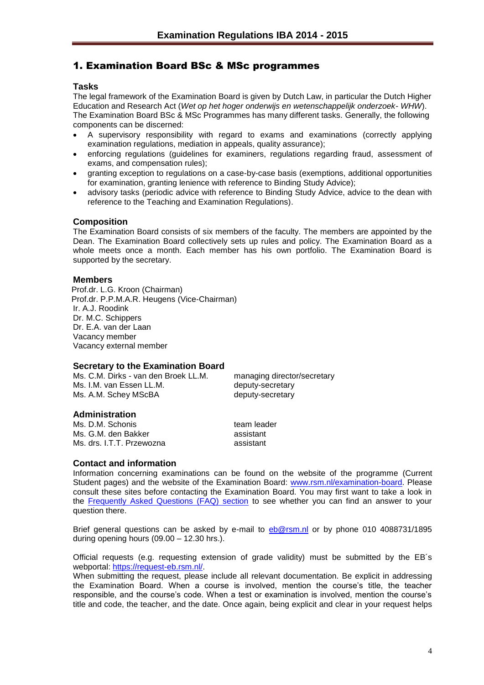# <span id="page-3-0"></span>1. Examination Board BSc & MSc programmes

#### <span id="page-3-1"></span>**Tasks**

The legal framework of the Examination Board is given by Dutch Law, in particular the Dutch Higher Education and Research Act (*Wet op het hoger onderwijs en wetenschappelijk onderzoek- WHW*). The Examination Board BSc & MSc Programmes has many different tasks. Generally, the following components can be discerned:

- A supervisory responsibility with regard to exams and examinations (correctly applying examination regulations, mediation in appeals, quality assurance);
- enforcing regulations (guidelines for examiners, regulations regarding fraud, assessment of exams, and compensation rules);
- granting exception to regulations on a case-by-case basis (exemptions, additional opportunities for examination, granting lenience with reference to Binding Study Advice);
- advisory tasks (periodic advice with reference to Binding Study Advice, advice to the dean with reference to the Teaching and Examination Regulations).

#### <span id="page-3-2"></span>**Composition**

The Examination Board consists of six members of the faculty. The members are appointed by the Dean. The Examination Board collectively sets up rules and policy. The Examination Board as a whole meets once a month. Each member has his own portfolio. The Examination Board is supported by the secretary.

#### <span id="page-3-3"></span>**Members**

Prof.dr. L.G. Kroon (Chairman) Prof.dr. P.P.M.A.R. Heugens (Vice-Chairman) Ir. A.J. Roodink Dr. M.C. Schippers Dr. E.A. van der Laan Vacancy member Vacancy external member

#### <span id="page-3-4"></span>**Secretary to the Examination Board**

| Ms. C.M. Dirks - van den Broek LL.M. | managing director/secretary |
|--------------------------------------|-----------------------------|
| Ms. I.M. van Essen LL.M.             | deputy-secretary            |
| Ms. A.M. Schey MScBA                 | deputy-secretary            |

## <span id="page-3-5"></span>**Administration**

Ms. D.M. Schonis team leader Ms. G.M. den Bakker assistant Ms. drs. I.T.T. Przewozna assistant

#### <span id="page-3-6"></span>**Contact and information**

Information concerning examinations can be found on the website of the programme (Current Student pages) and the website of the Examination Board: [www.rsm.nl/examination-board.](http://www.rsm.nl/examination-board) Please consult these sites before contacting the Examination Board. You may first want to take a look in the [Frequently Asked Questions \(FAQ\) section](http://www.rsm.nl/examination-board/frequently-asked-questions-faqs/) to see whether you can find an answer to your question there.

Brief general questions can be asked by e-mail to [eb@rsm.nl](mailto:eb@rsm.nl) or by phone 010 4088731/1895 during opening hours (09.00 – 12.30 hrs.).

Official requests (e.g. requesting extension of grade validity) must be submitted by the EB´s webportal: [https://request-eb.rsm.nl/.](https://outlookweb.eur.nl/owa/redir.aspx?C=shB4IMKmlk6TlJpPlB047acileaxXdEIE7A10lIk2A3HlL6DMkPFtn8cEd4QuLBFOwpk7HosdC4.&URL=https%3a%2f%2frequest-eb.rsm.nl%2f)

When submitting the request, please include all relevant documentation. Be explicit in addressing the Examination Board. When a course is involved, mention the course's title, the teacher responsible, and the course's code. When a test or examination is involved, mention the course's title and code, the teacher, and the date. Once again, being explicit and clear in your request helps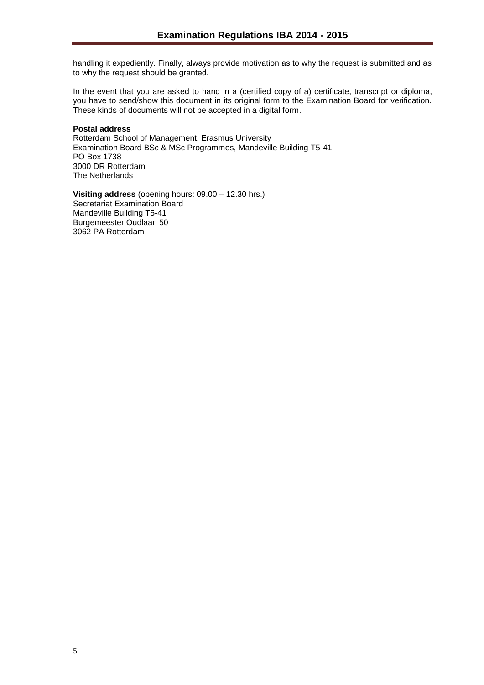handling it expediently. Finally, always provide motivation as to why the request is submitted and as to why the request should be granted.

In the event that you are asked to hand in a (certified copy of a) certificate, transcript or diploma, you have to send/show this document in its original form to the Examination Board for verification. These kinds of documents will not be accepted in a digital form.

#### **Postal address**

Rotterdam School of Management, Erasmus University Examination Board BSc & MSc Programmes, Mandeville Building T5-41 PO Box 1738 3000 DR Rotterdam The Netherlands

**Visiting address** (opening hours: 09.00 – 12.30 hrs.) Secretariat Examination Board Mandeville Building T5-41 Burgemeester Oudlaan 50 3062 PA Rotterdam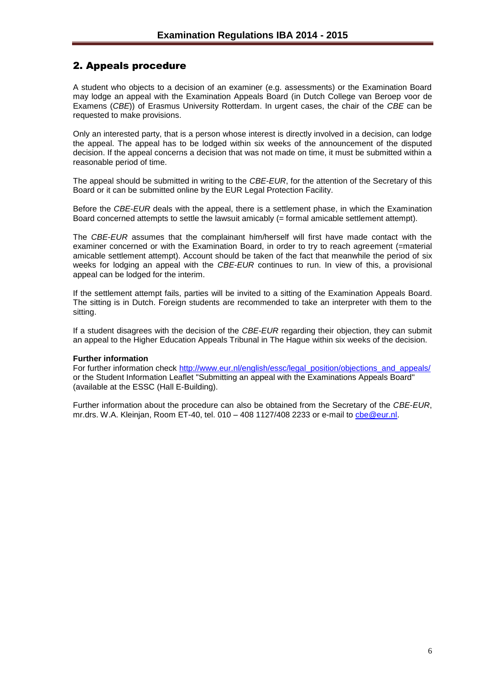# <span id="page-5-0"></span>2. Appeals procedure

A student who objects to a decision of an examiner (e.g. assessments) or the Examination Board may lodge an appeal with the Examination Appeals Board (in Dutch College van Beroep voor de Examens (*CBE*)) of Erasmus University Rotterdam. In urgent cases, the chair of the *CBE* can be requested to make provisions.

Only an interested party, that is a person whose interest is directly involved in a decision, can lodge the appeal. The appeal has to be lodged within six weeks of the announcement of the disputed decision. If the appeal concerns a decision that was not made on time, it must be submitted within a reasonable period of time.

The appeal should be submitted in writing to the *CBE*-*EUR*, for the attention of the Secretary of this Board or it can be submitted online by the EUR Legal Protection Facility.

Before the *CBE*-*EUR* deals with the appeal, there is a settlement phase, in which the Examination Board concerned attempts to settle the lawsuit amicably (= formal amicable settlement attempt).

The *CBE*-*EUR* assumes that the complainant him/herself will first have made contact with the examiner concerned or with the Examination Board, in order to try to reach agreement (=material amicable settlement attempt). Account should be taken of the fact that meanwhile the period of six weeks for lodging an appeal with the *CBE*-*EUR* continues to run. In view of this, a provisional appeal can be lodged for the interim.

If the settlement attempt fails, parties will be invited to a sitting of the Examination Appeals Board. The sitting is in Dutch. Foreign students are recommended to take an interpreter with them to the sitting.

If a student disagrees with the decision of the *CBE-EUR* regarding their objection, they can submit an appeal to the Higher Education Appeals Tribunal in The Hague within six weeks of the decision.

#### **Further information**

For further information check [http://www.eur.nl/english/essc/legal\\_position/objections\\_and\\_appeals/](http://www.eur.nl/english/essc/legal_position/objections_and_appeals/) or the Student Information Leaflet "Submitting an appeal with the Examinations Appeals Board" (available at the ESSC (Hall E-Building).

Further information about the procedure can also be obtained from the Secretary of the *CBE*-*EUR*, mr.drs. W.A. Kleinjan, Room ET-40, tel. 010 – 408 1127/408 2233 or e-mail to [cbe@eur.nl.](mailto:cbe@eur.nl)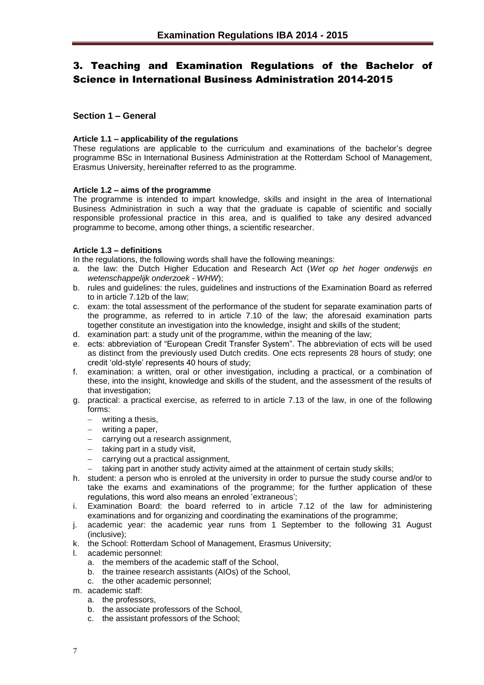# <span id="page-6-0"></span>3. Teaching and Examination Regulations of the Bachelor of Science in International Business Administration 2014-2015

# <span id="page-6-1"></span>**Section 1 – General**

#### <span id="page-6-2"></span>**Article 1.1 – applicability of the regulations**

These regulations are applicable to the curriculum and examinations of the bachelor's degree programme BSc in International Business Administration at the Rotterdam School of Management, Erasmus University, hereinafter referred to as the programme.

#### <span id="page-6-3"></span>**Article 1.2 – aims of the programme**

The programme is intended to impart knowledge, skills and insight in the area of International Business Administration in such a way that the graduate is capable of scientific and socially responsible professional practice in this area, and is qualified to take any desired advanced programme to become, among other things, a scientific researcher.

## <span id="page-6-4"></span>**Article 1.3 – definitions**

In the regulations, the following words shall have the following meanings:

- a. the law: the Dutch Higher Education and Research Act (*Wet op het hoger onderwijs en wetenschappelijk onderzoek* - *WHW*);
- b. rules and guidelines: the rules, guidelines and instructions of the Examination Board as referred to in article 7.12b of the law;
- c. exam: the total assessment of the performance of the student for separate examination parts of the programme, as referred to in article 7.10 of the law; the aforesaid examination parts together constitute an investigation into the knowledge, insight and skills of the student;
- d. examination part: a study unit of the programme, within the meaning of the law;
- e. ects: abbreviation of "European Credit Transfer System". The abbreviation of ects will be used as distinct from the previously used Dutch credits. One ects represents 28 hours of study; one credit 'old-style' represents 40 hours of study;
- f. examination: a written, oral or other investigation, including a practical, or a combination of these, into the insight, knowledge and skills of the student, and the assessment of the results of that investigation:
- g. practical: a practical exercise, as referred to in article 7.13 of the law, in one of the following forms:
	- writing a thesis,
	- writing a paper,
	- carrying out a research assignment,
	- $-$  taking part in a study visit,
	- carrying out a practical assignment,
	- $-$  taking part in another study activity aimed at the attainment of certain study skills;
- h. student: a person who is enroled at the university in order to pursue the study course and/or to take the exams and examinations of the programme; for the further application of these regulations, this word also means an enroled 'extraneous';
- i. Examination Board: the board referred to in article 7.12 of the law for administering examinations and for organizing and coordinating the examinations of the programme;
- j. academic year: the academic year runs from 1 September to the following 31 August (inclusive);
- k. the School: Rotterdam School of Management, Erasmus University;
- l. academic personnel:
	- a. the members of the academic staff of the School,
	- b. the trainee research assistants (AIOs) of the School,
	- c. the other academic personnel;
- m. academic staff:
	- a. the professors,
	- b. the associate professors of the School,
	- c. the assistant professors of the School;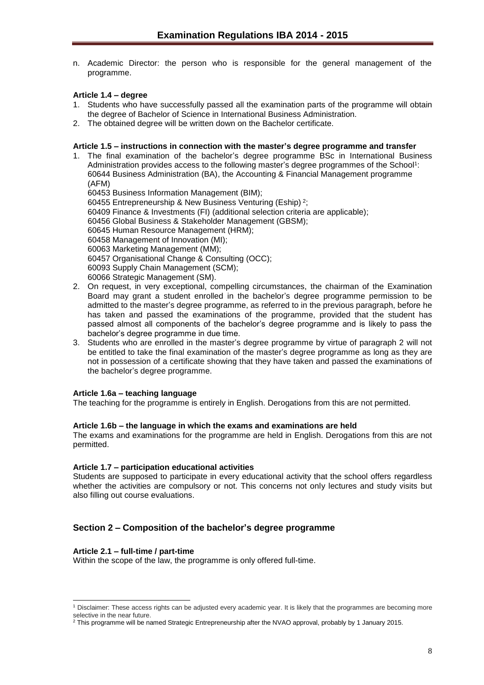n. Academic Director: the person who is responsible for the general management of the programme.

# <span id="page-7-0"></span>**Article 1.4 – degree**

- 1. Students who have successfully passed all the examination parts of the programme will obtain the degree of Bachelor of Science in International Business Administration.
- 2. The obtained degree will be written down on the Bachelor certificate.

#### <span id="page-7-1"></span>**Article 1.5 – instructions in connection with the master's degree programme and transfer**

1. The final examination of the bachelor's degree programme BSc in International Business Administration provides access to the following master's degree programmes of the School<sup>1</sup>: 60644 Business Administration (BA), the Accounting & Financial Management programme (AFM)

60453 Business Information Management (BIM);

60455 Entrepreneurship & New Business Venturing (Eship) <sup>2</sup>;

60409 Finance & Investments (FI) (additional selection criteria are applicable);

60456 Global Business & Stakeholder Management (GBSM);

60645 Human Resource Management (HRM);

60458 Management of Innovation (MI);

60063 Marketing Management (MM);

60457 Organisational Change & Consulting (OCC);

60093 Supply Chain Management (SCM);

60066 Strategic Management (SM).

- 2. On request, in very exceptional, compelling circumstances, the chairman of the Examination Board may grant a student enrolled in the bachelor's degree programme permission to be admitted to the master's degree programme, as referred to in the previous paragraph, before he has taken and passed the examinations of the programme, provided that the student has passed almost all components of the bachelor's degree programme and is likely to pass the bachelor's degree programme in due time.
- 3. Students who are enrolled in the master's degree programme by virtue of paragraph 2 will not be entitled to take the final examination of the master's degree programme as long as they are not in possession of a certificate showing that they have taken and passed the examinations of the bachelor's degree programme.

## <span id="page-7-2"></span>**Article 1.6a – teaching language**

The teaching for the programme is entirely in English. Derogations from this are not permitted.

#### <span id="page-7-3"></span>**Article 1.6b – the language in which the exams and examinations are held**

The exams and examinations for the programme are held in English. Derogations from this are not permitted.

#### <span id="page-7-4"></span>**Article 1.7 – participation educational activities**

Students are supposed to participate in every educational activity that the school offers regardless whether the activities are compulsory or not. This concerns not only lectures and study visits but also filling out course evaluations.

# <span id="page-7-5"></span>**Section 2 – Composition of the bachelor's degree programme**

#### <span id="page-7-6"></span>**Article 2.1 – full-time / part-time**

Within the scope of the law, the programme is only offered full-time.

l <sup>1</sup> Disclaimer: These access rights can be adjusted every academic year. It is likely that the programmes are becoming more selective in the near future.

<sup>2</sup> This programme will be named Strategic Entrepreneurship after the NVAO approval, probably by 1 January 2015.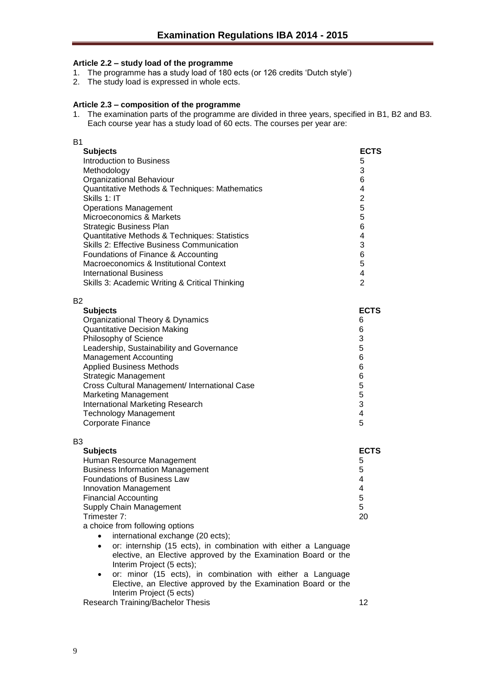# <span id="page-8-0"></span>**Article 2.2 – study load of the programme**

- 1. The programme has a study load of 180 ects (or 126 credits 'Dutch style')
- 2. The study load is expressed in whole ects.

#### <span id="page-8-1"></span>**Article 2.3 – composition of the programme**

1. The examination parts of the programme are divided in three years, specified in B1, B2 and B3. Each course year has a study load of 60 ects. The courses per year are:

| <b>B1</b>                                                                                                                                                                                                                                                                                                                                                                                                                                                                                                                                                                                                                                     |                                                                                                                                   |
|-----------------------------------------------------------------------------------------------------------------------------------------------------------------------------------------------------------------------------------------------------------------------------------------------------------------------------------------------------------------------------------------------------------------------------------------------------------------------------------------------------------------------------------------------------------------------------------------------------------------------------------------------|-----------------------------------------------------------------------------------------------------------------------------------|
| <b>Subjects</b><br><b>Introduction to Business</b><br>Methodology<br>Organizational Behaviour<br>Quantitative Methods & Techniques: Mathematics<br>Skills 1: IT<br><b>Operations Management</b><br>Microeconomics & Markets<br><b>Strategic Business Plan</b><br>Quantitative Methods & Techniques: Statistics<br><b>Skills 2: Effective Business Communication</b><br>Foundations of Finance & Accounting<br>Macroeconomics & Institutional Context<br><b>International Business</b><br>Skills 3: Academic Writing & Critical Thinking                                                                                                       | <b>ECTS</b><br>5<br>3<br>6<br>4<br>$\overline{2}$<br>5<br>5<br>6<br>4<br>3<br>6<br>5<br>$\overline{\mathbf{4}}$<br>$\overline{2}$ |
| B <sub>2</sub>                                                                                                                                                                                                                                                                                                                                                                                                                                                                                                                                                                                                                                |                                                                                                                                   |
| <b>Subjects</b><br>Organizational Theory & Dynamics<br><b>Quantitative Decision Making</b><br>Philosophy of Science<br>Leadership, Sustainability and Governance<br><b>Management Accounting</b><br><b>Applied Business Methods</b><br><b>Strategic Management</b><br>Cross Cultural Management/ International Case<br><b>Marketing Management</b><br>International Marketing Research<br><b>Technology Management</b><br>Corporate Finance                                                                                                                                                                                                   | <b>ECTS</b><br>6<br>6<br>3<br>5<br>6<br>6<br>6<br>5<br>5<br>3<br>$\overline{\mathbf{4}}$<br>5                                     |
| B <sub>3</sub><br><b>Subjects</b><br>Human Resource Management<br><b>Business Information Management</b><br><b>Foundations of Business Law</b><br>Innovation Management<br><b>Financial Accounting</b><br>Supply Chain Management<br>Trimester 7:<br>a choice from following options<br>international exchange (20 ects);<br>or: internship (15 ects), in combination with either a Language<br>$\bullet$<br>elective, an Elective approved by the Examination Board or the<br>Interim Project (5 ects);<br>or: minor (15 ects), in combination with either a Language<br>٠<br>Elective, an Elective approved by the Examination Board or the | <b>ECTS</b><br>5<br>5<br>4<br>4<br>5<br>5<br>20                                                                                   |

Interim Project (5 ects)

Research Training/Bachelor Thesis 12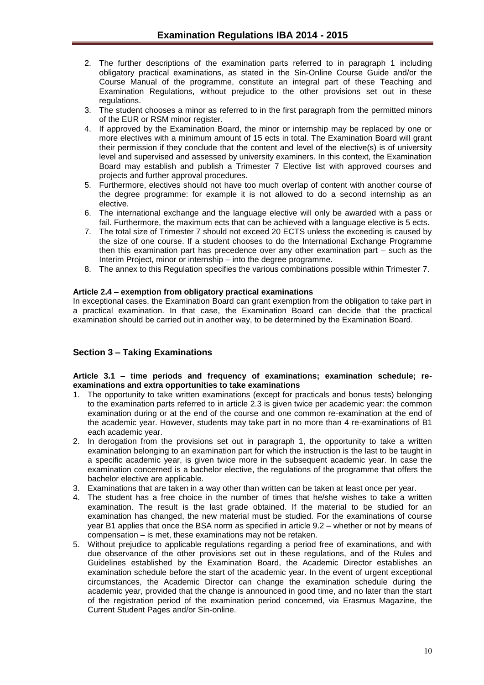- 2. The further descriptions of the examination parts referred to in paragraph 1 including obligatory practical examinations, as stated in the Sin-Online Course Guide and/or the Course Manual of the programme, constitute an integral part of these Teaching and Examination Regulations, without prejudice to the other provisions set out in these regulations.
- 3. The student chooses a minor as referred to in the first paragraph from the permitted minors of the EUR or RSM minor register.
- 4. If approved by the Examination Board, the minor or internship may be replaced by one or more electives with a minimum amount of 15 ects in total. The Examination Board will grant their permission if they conclude that the content and level of the elective(s) is of university level and supervised and assessed by university examiners. In this context, the Examination Board may establish and publish a Trimester 7 Elective list with approved courses and projects and further approval procedures.
- 5. Furthermore, electives should not have too much overlap of content with another course of the degree programme: for example it is not allowed to do a second internship as an elective.
- 6. The international exchange and the language elective will only be awarded with a pass or fail. Furthermore, the maximum ects that can be achieved with a language elective is 5 ects.
- 7. The total size of Trimester 7 should not exceed 20 ECTS unless the exceeding is caused by the size of one course. If a student chooses to do the International Exchange Programme then this examination part has precedence over any other examination part – such as the Interim Project, minor or internship – into the degree programme.
- 8. The annex to this Regulation specifies the various combinations possible within Trimester 7.

## <span id="page-9-0"></span>**Article 2.4 – exemption from obligatory practical examinations**

In exceptional cases, the Examination Board can grant exemption from the obligation to take part in a practical examination. In that case, the Examination Board can decide that the practical examination should be carried out in another way, to be determined by the Examination Board.

# <span id="page-9-1"></span>**Section 3 – Taking Examinations**

#### <span id="page-9-2"></span>**Article 3.1 – time periods and frequency of examinations; examination schedule; reexaminations and extra opportunities to take examinations**

- 1. The opportunity to take written examinations (except for practicals and bonus tests) belonging to the examination parts referred to in article 2.3 is given twice per academic year: the common examination during or at the end of the course and one common re-examination at the end of the academic year. However, students may take part in no more than 4 re-examinations of B1 each academic year.
- 2. In derogation from the provisions set out in paragraph 1, the opportunity to take a written examination belonging to an examination part for which the instruction is the last to be taught in a specific academic year, is given twice more in the subsequent academic year. In case the examination concerned is a bachelor elective, the regulations of the programme that offers the bachelor elective are applicable.
- 3. Examinations that are taken in a way other than written can be taken at least once per year.
- 4. The student has a free choice in the number of times that he/she wishes to take a written examination. The result is the last grade obtained. If the material to be studied for an examination has changed, the new material must be studied. For the examinations of course year B1 applies that once the BSA norm as specified in article 9.2 – whether or not by means of compensation – is met, these examinations may not be retaken.
- 5. Without prejudice to applicable regulations regarding a period free of examinations, and with due observance of the other provisions set out in these regulations, and of the Rules and Guidelines established by the Examination Board, the Academic Director establishes an examination schedule before the start of the academic year. In the event of urgent exceptional circumstances, the Academic Director can change the examination schedule during the academic year, provided that the change is announced in good time, and no later than the start of the registration period of the examination period concerned, via Erasmus Magazine, the Current Student Pages and/or Sin-online.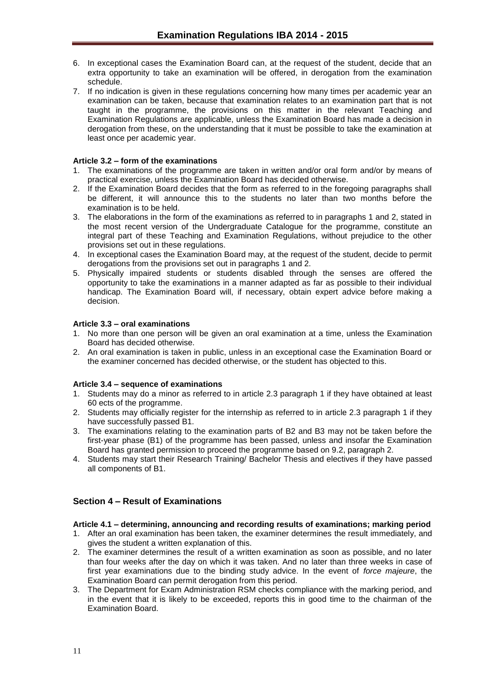- 6. In exceptional cases the Examination Board can, at the request of the student, decide that an extra opportunity to take an examination will be offered, in derogation from the examination schedule.
- 7. If no indication is given in these regulations concerning how many times per academic year an examination can be taken, because that examination relates to an examination part that is not taught in the programme, the provisions on this matter in the relevant Teaching and Examination Regulations are applicable, unless the Examination Board has made a decision in derogation from these, on the understanding that it must be possible to take the examination at least once per academic year.

## <span id="page-10-0"></span>**Article 3.2 – form of the examinations**

- 1. The examinations of the programme are taken in written and/or oral form and/or by means of practical exercise, unless the Examination Board has decided otherwise.
- 2. If the Examination Board decides that the form as referred to in the foregoing paragraphs shall be different, it will announce this to the students no later than two months before the examination is to be held.
- 3. The elaborations in the form of the examinations as referred to in paragraphs 1 and 2, stated in the most recent version of the Undergraduate Catalogue for the programme, constitute an integral part of these Teaching and Examination Regulations, without prejudice to the other provisions set out in these regulations.
- 4. In exceptional cases the Examination Board may, at the request of the student, decide to permit derogations from the provisions set out in paragraphs 1 and 2.
- 5. Physically impaired students or students disabled through the senses are offered the opportunity to take the examinations in a manner adapted as far as possible to their individual handicap. The Examination Board will, if necessary, obtain expert advice before making a decision.

## <span id="page-10-1"></span>**Article 3.3 – oral examinations**

- 1. No more than one person will be given an oral examination at a time, unless the Examination Board has decided otherwise.
- 2. An oral examination is taken in public, unless in an exceptional case the Examination Board or the examiner concerned has decided otherwise, or the student has objected to this.

## <span id="page-10-2"></span>**Article 3.4 – sequence of examinations**

- 1. Students may do a minor as referred to in article 2.3 paragraph 1 if they have obtained at least 60 ects of the programme.
- 2. Students may officially register for the internship as referred to in article 2.3 paragraph 1 if they have successfully passed B1.
- 3. The examinations relating to the examination parts of B2 and B3 may not be taken before the first-year phase (B1) of the programme has been passed, unless and insofar the Examination Board has granted permission to proceed the programme based on 9.2, paragraph 2.
- 4. Students may start their Research Training/ Bachelor Thesis and electives if they have passed all components of B1.

# <span id="page-10-3"></span>**Section 4 – Result of Examinations**

## <span id="page-10-4"></span>**Article 4.1 – determining, announcing and recording results of examinations; marking period**

- 1. After an oral examination has been taken, the examiner determines the result immediately, and gives the student a written explanation of this.
- 2. The examiner determines the result of a written examination as soon as possible, and no later than four weeks after the day on which it was taken. And no later than three weeks in case of first year examinations due to the binding study advice. In the event of *force majeure*, the Examination Board can permit derogation from this period.
- 3. The Department for Exam Administration RSM checks compliance with the marking period, and in the event that it is likely to be exceeded, reports this in good time to the chairman of the Examination Board.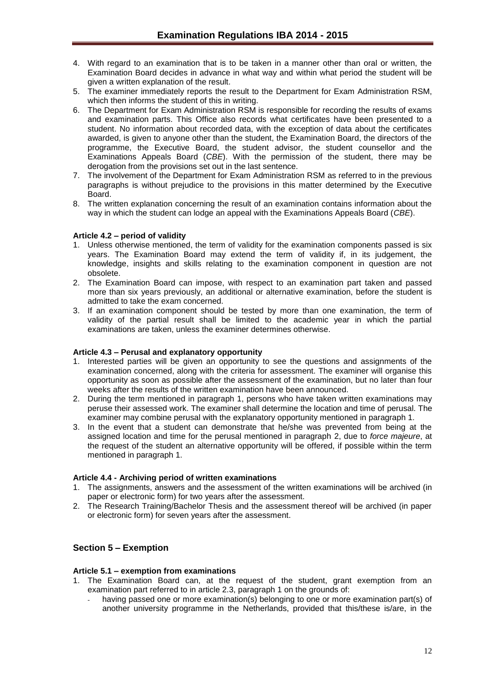- 4. With regard to an examination that is to be taken in a manner other than oral or written, the Examination Board decides in advance in what way and within what period the student will be given a written explanation of the result.
- 5. The examiner immediately reports the result to the Department for Exam Administration RSM, which then informs the student of this in writing.
- 6. The Department for Exam Administration RSM is responsible for recording the results of exams and examination parts. This Office also records what certificates have been presented to a student. No information about recorded data, with the exception of data about the certificates awarded, is given to anyone other than the student, the Examination Board, the directors of the programme, the Executive Board, the student advisor, the student counsellor and the Examinations Appeals Board (*CBE*). With the permission of the student, there may be derogation from the provisions set out in the last sentence.
- 7. The involvement of the Department for Exam Administration RSM as referred to in the previous paragraphs is without prejudice to the provisions in this matter determined by the Executive Board.
- 8. The written explanation concerning the result of an examination contains information about the way in which the student can lodge an appeal with the Examinations Appeals Board (*CBE*).

## <span id="page-11-0"></span>**Article 4.2 – period of validity**

- 1. Unless otherwise mentioned, the term of validity for the examination components passed is six years. The Examination Board may extend the term of validity if, in its judgement, the knowledge, insights and skills relating to the examination component in question are not obsolete.
- 2. The Examination Board can impose, with respect to an examination part taken and passed more than six years previously, an additional or alternative examination, before the student is admitted to take the exam concerned.
- 3. If an examination component should be tested by more than one examination, the term of validity of the partial result shall be limited to the academic year in which the partial examinations are taken, unless the examiner determines otherwise.

#### <span id="page-11-1"></span>**Article 4.3 – Perusal and explanatory opportunity**

- 1. Interested parties will be given an opportunity to see the questions and assignments of the examination concerned, along with the criteria for assessment. The examiner will organise this opportunity as soon as possible after the assessment of the examination, but no later than four weeks after the results of the written examination have been announced.
- 2. During the term mentioned in paragraph 1, persons who have taken written examinations may peruse their assessed work. The examiner shall determine the location and time of perusal. The examiner may combine perusal with the explanatory opportunity mentioned in paragraph 1.
- 3. In the event that a student can demonstrate that he/she was prevented from being at the assigned location and time for the perusal mentioned in paragraph 2, due to *force majeure*, at the request of the student an alternative opportunity will be offered, if possible within the term mentioned in paragraph 1.

#### <span id="page-11-2"></span>**Article 4.4 - Archiving period of written examinations**

- 1. The assignments, answers and the assessment of the written examinations will be archived (in paper or electronic form) for two years after the assessment.
- 2. The Research Training/Bachelor Thesis and the assessment thereof will be archived (in paper or electronic form) for seven years after the assessment.

## <span id="page-11-3"></span>**Section 5 – Exemption**

#### <span id="page-11-4"></span>**Article 5.1 – exemption from examinations**

- 1. The Examination Board can, at the request of the student, grant exemption from an examination part referred to in article 2.3, paragraph 1 on the grounds of:
	- having passed one or more examination(s) belonging to one or more examination part(s) of another university programme in the Netherlands, provided that this/these is/are, in the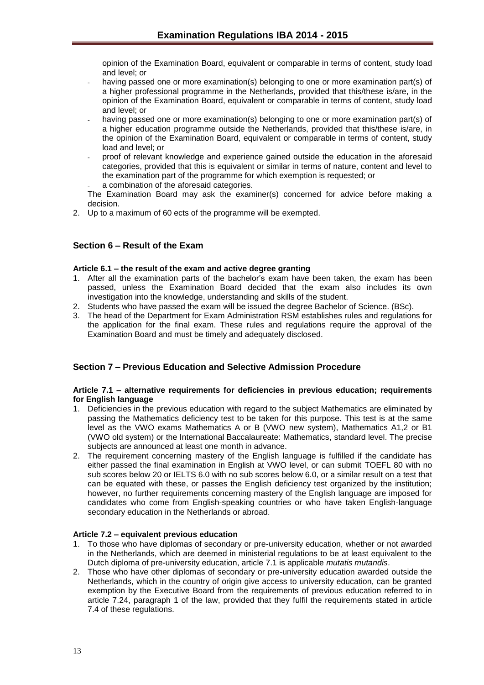opinion of the Examination Board, equivalent or comparable in terms of content, study load and level; or

- having passed one or more examination(s) belonging to one or more examination part(s) of a higher professional programme in the Netherlands, provided that this/these is/are, in the opinion of the Examination Board, equivalent or comparable in terms of content, study load and level; or
- having passed one or more examination(s) belonging to one or more examination part(s) of a higher education programme outside the Netherlands, provided that this/these is/are, in the opinion of the Examination Board, equivalent or comparable in terms of content, study load and level; or
- proof of relevant knowledge and experience gained outside the education in the aforesaid categories, provided that this is equivalent or similar in terms of nature, content and level to the examination part of the programme for which exemption is requested; or a combination of the aforesaid categories.

The Examination Board may ask the examiner(s) concerned for advice before making a decision.

2. Up to a maximum of 60 ects of the programme will be exempted.

# <span id="page-12-0"></span>**Section 6 – Result of the Exam**

#### <span id="page-12-1"></span>**Article 6.1 – the result of the exam and active degree granting**

- 1. After all the examination parts of the bachelor's exam have been taken, the exam has been passed, unless the Examination Board decided that the exam also includes its own investigation into the knowledge, understanding and skills of the student.
- 2. Students who have passed the exam will be issued the degree Bachelor of Science. (BSc).
- 3. The head of the Department for Exam Administration RSM establishes rules and regulations for the application for the final exam. These rules and regulations require the approval of the Examination Board and must be timely and adequately disclosed.

## <span id="page-12-2"></span>**Section 7 – Previous Education and Selective Admission Procedure**

#### <span id="page-12-3"></span>**Article 7.1 – alternative requirements for deficiencies in previous education; requirements for English language**

- 1. Deficiencies in the previous education with regard to the subject Mathematics are eliminated by passing the Mathematics deficiency test to be taken for this purpose. This test is at the same level as the VWO exams Mathematics A or B (VWO new system), Mathematics A1,2 or B1 (VWO old system) or the International Baccalaureate: Mathematics, standard level. The precise subjects are announced at least one month in advance.
- 2. The requirement concerning mastery of the English language is fulfilled if the candidate has either passed the final examination in English at VWO level, or can submit TOEFL 80 with no sub scores below 20 or IELTS 6.0 with no sub scores below 6.0, or a similar result on a test that can be equated with these, or passes the English deficiency test organized by the institution; however, no further requirements concerning mastery of the English language are imposed for candidates who come from English-speaking countries or who have taken English-language secondary education in the Netherlands or abroad.

## <span id="page-12-4"></span>**Article 7.2 – equivalent previous education**

- 1. To those who have diplomas of secondary or pre-university education, whether or not awarded in the Netherlands, which are deemed in ministerial regulations to be at least equivalent to the Dutch diploma of pre-university education, article 7.1 is applicable *mutatis mutandis*.
- 2. Those who have other diplomas of secondary or pre-university education awarded outside the Netherlands, which in the country of origin give access to university education, can be granted exemption by the Executive Board from the requirements of previous education referred to in article 7.24, paragraph 1 of the law, provided that they fulfil the requirements stated in article 7.4 of these regulations.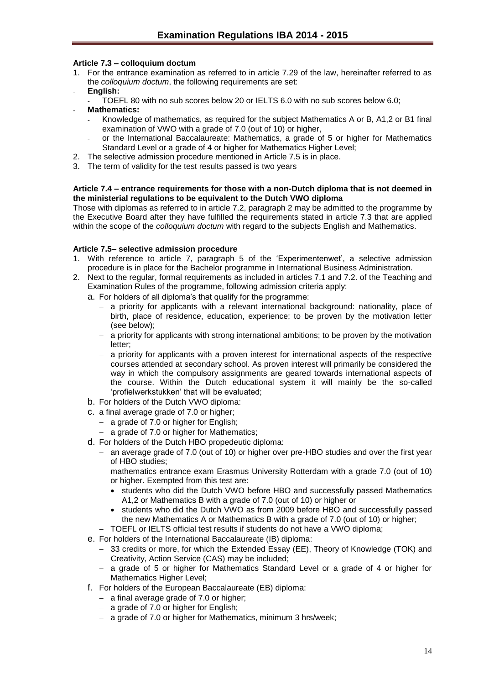# <span id="page-13-0"></span>**Article 7.3 – colloquium doctum**

- 1. For the entrance examination as referred to in article 7.29 of the law, hereinafter referred to as the *colloquium doctum*, the following requirements are set:
- **English:**
	- TOEFL 80 with no sub scores below 20 or IELTS 6.0 with no sub scores below 6.0;
- **Mathematics:**
	- Knowledge of mathematics, as required for the subject Mathematics A or B, A1,2 or B1 final examination of VWO with a grade of 7.0 (out of 10) or higher,
	- or the International Baccalaureate: Mathematics, a grade of 5 or higher for Mathematics Standard Level or a grade of 4 or higher for Mathematics Higher Level;
- 2. The selective admission procedure mentioned in Article 7.5 is in place.
- 3. The term of validity for the test results passed is two years

## <span id="page-13-1"></span>**Article 7.4 – entrance requirements for those with a non-Dutch diploma that is not deemed in the ministerial regulations to be equivalent to the Dutch VWO diploma**

Those with diplomas as referred to in article 7.2, paragraph 2 may be admitted to the programme by the Executive Board after they have fulfilled the requirements stated in article 7.3 that are applied within the scope of the *colloquium doctum* with regard to the subjects English and Mathematics.

## <span id="page-13-2"></span>**Article 7.5– selective admission procedure**

- 1. With reference to article 7, paragraph 5 of the 'Experimentenwet', a selective admission procedure is in place for the Bachelor programme in International Business Administration.
- 2. Next to the regular, formal requirements as included in articles 7.1 and 7.2. of the Teaching and Examination Rules of the programme, following admission criteria apply:

a. For holders of all diploma's that qualify for the programme:

- a priority for applicants with a relevant international background: nationality, place of birth, place of residence, education, experience; to be proven by the motivation letter (see below);
- $-$  a priority for applicants with strong international ambitions; to be proven by the motivation letter;
- a priority for applicants with a proven interest for international aspects of the respective courses attended at secondary school. As proven interest will primarily be considered the way in which the compulsory assignments are geared towards international aspects of the course. Within the Dutch educational system it will mainly be the so-called 'profielwerkstukken' that will be evaluated;
- b. For holders of the Dutch VWO diploma:
- c. a final average grade of 7.0 or higher;
	- $-$  a grade of 7.0 or higher for English;
	- a grade of 7.0 or higher for Mathematics;
- d. For holders of the Dutch HBO propedeutic diploma:
	- an average grade of 7.0 (out of 10) or higher over pre-HBO studies and over the first year of HBO studies;
	- mathematics entrance exam Erasmus University Rotterdam with a grade 7.0 (out of 10) or higher. Exempted from this test are:
		- students who did the Dutch VWO before HBO and successfully passed Mathematics A1,2 or Mathematics B with a grade of 7.0 (out of 10) or higher or
		- students who did the Dutch VWO as from 2009 before HBO and successfully passed the new Mathematics A or Mathematics B with a grade of 7.0 (out of 10) or higher;
	- TOEFL or IELTS official test results if students do not have a VWO diploma;
- e. For holders of the International Baccalaureate (IB) diploma:
	- 33 credits or more, for which the Extended Essay (EE), Theory of Knowledge (TOK) and Creativity, Action Service (CAS) may be included;
	- $-$  a grade of 5 or higher for Mathematics Standard Level or a grade of 4 or higher for Mathematics Higher Level;
- f. For holders of the European Baccalaureate (EB) diploma:
	- $-$  a final average grade of 7.0 or higher;
	- $-$  a grade of 7.0 or higher for English;
	- a grade of 7.0 or higher for Mathematics, minimum 3 hrs/week;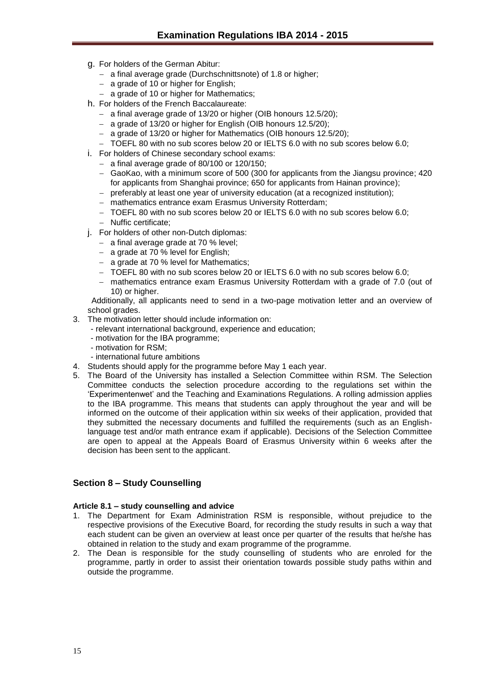- g. For holders of the German Abitur:
	- a final average grade (Durchschnittsnote) of 1.8 or higher;
	- $-$  a grade of 10 or higher for English;
	- a grade of 10 or higher for Mathematics;
- h. For holders of the French Baccalaureate:
	- a final average grade of 13/20 or higher (OIB honours 12.5/20):
	- a grade of 13/20 or higher for English (OIB honours 12.5/20);
	- a grade of 13/20 or higher for Mathematics (OIB honours 12.5/20);
	- TOEFL 80 with no sub scores below 20 or IELTS 6.0 with no sub scores below 6.0;
- i. For holders of Chinese secondary school exams:
	- $-$  a final average grade of 80/100 or 120/150;
	- GaoKao, with a minimum score of 500 (300 for applicants from the Jiangsu province; 420 for applicants from Shanghai province; 650 for applicants from Hainan province);
	- preferably at least one year of university education (at a recognized institution);
	- mathematics entrance exam Erasmus University Rotterdam;
	- TOEFL 80 with no sub scores below 20 or IELTS 6.0 with no sub scores below 6.0;
	- Nuffic certificate;
- j. For holders of other non-Dutch diplomas:
	- $-$  a final average grade at 70 % level;
	- $-$  a grade at 70 % level for English;
	- a grade at 70 % level for Mathematics;
	- TOEFL 80 with no sub scores below 20 or IELTS 6.0 with no sub scores below 6.0;
	- mathematics entrance exam Erasmus University Rotterdam with a grade of 7.0 (out of 10) or higher.

Additionally, all applicants need to send in a two-page motivation letter and an overview of school grades.

- 3. The motivation letter should include information on:
	- relevant international background, experience and education;
	- motivation for the IBA programme;
	- motivation for RSM;
	- international future ambitions
- 4. Students should apply for the programme before May 1 each year.
- 5. The Board of the University has installed a Selection Committee within RSM. The Selection Committee conducts the selection procedure according to the regulations set within the 'Experimentenwet' and the Teaching and Examinations Regulations. A rolling admission applies to the IBA programme. This means that students can apply throughout the year and will be informed on the outcome of their application within six weeks of their application, provided that they submitted the necessary documents and fulfilled the requirements (such as an Englishlanguage test and/or math entrance exam if applicable). Decisions of the Selection Committee are open to appeal at the Appeals Board of Erasmus University within 6 weeks after the decision has been sent to the applicant.

## <span id="page-14-0"></span>**Section 8 – Study Counselling**

#### <span id="page-14-1"></span>**Article 8.1 – study counselling and advice**

- 1. The Department for Exam Administration RSM is responsible, without prejudice to the respective provisions of the Executive Board, for recording the study results in such a way that each student can be given an overview at least once per quarter of the results that he/she has obtained in relation to the study and exam programme of the programme.
- 2. The Dean is responsible for the study counselling of students who are enroled for the programme, partly in order to assist their orientation towards possible study paths within and outside the programme.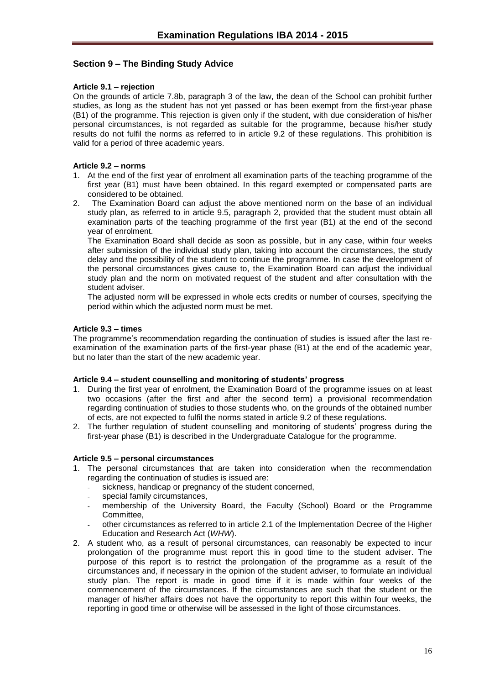# <span id="page-15-0"></span>**Section 9 – The Binding Study Advice**

#### <span id="page-15-1"></span>**Article 9.1 – rejection**

On the grounds of article 7.8b, paragraph 3 of the law, the dean of the School can prohibit further studies, as long as the student has not yet passed or has been exempt from the first-year phase (B1) of the programme. This rejection is given only if the student, with due consideration of his/her personal circumstances, is not regarded as suitable for the programme, because his/her study results do not fulfil the norms as referred to in article 9.2 of these regulations. This prohibition is valid for a period of three academic years.

#### <span id="page-15-2"></span>**Article 9.2 – norms**

- 1. At the end of the first year of enrolment all examination parts of the teaching programme of the first year (B1) must have been obtained. In this regard exempted or compensated parts are considered to be obtained.
- 2. The Examination Board can adjust the above mentioned norm on the base of an individual study plan, as referred to in article 9.5, paragraph 2, provided that the student must obtain all examination parts of the teaching programme of the first year (B1) at the end of the second year of enrolment.

The Examination Board shall decide as soon as possible, but in any case, within four weeks after submission of the individual study plan, taking into account the circumstances, the study delay and the possibility of the student to continue the programme. In case the development of the personal circumstances gives cause to, the Examination Board can adjust the individual study plan and the norm on motivated request of the student and after consultation with the student adviser.

The adjusted norm will be expressed in whole ects credits or number of courses, specifying the period within which the adjusted norm must be met.

#### <span id="page-15-3"></span>**Article 9.3 – times**

The programme's recommendation regarding the continuation of studies is issued after the last reexamination of the examination parts of the first-year phase (B1) at the end of the academic year, but no later than the start of the new academic year.

#### <span id="page-15-4"></span>**Article 9.4 – student counselling and monitoring of students' progress**

- 1. During the first year of enrolment, the Examination Board of the programme issues on at least two occasions (after the first and after the second term) a provisional recommendation regarding continuation of studies to those students who, on the grounds of the obtained number of ects, are not expected to fulfil the norms stated in article 9.2 of these regulations.
- 2. The further regulation of student counselling and monitoring of students' progress during the first-year phase (B1) is described in the Undergraduate Catalogue for the programme.

#### <span id="page-15-5"></span>**Article 9.5 – personal circumstances**

- 1. The personal circumstances that are taken into consideration when the recommendation regarding the continuation of studies is issued are:
	- sickness, handicap or pregnancy of the student concerned,
	- special family circumstances,
	- membership of the University Board, the Faculty (School) Board or the Programme Committee,
	- other circumstances as referred to in article 2.1 of the Implementation Decree of the Higher Education and Research Act (*WHW*).
- 2. A student who, as a result of personal circumstances, can reasonably be expected to incur prolongation of the programme must report this in good time to the student adviser. The purpose of this report is to restrict the prolongation of the programme as a result of the circumstances and, if necessary in the opinion of the student adviser, to formulate an individual study plan. The report is made in good time if it is made within four weeks of the commencement of the circumstances. If the circumstances are such that the student or the manager of his/her affairs does not have the opportunity to report this within four weeks, the reporting in good time or otherwise will be assessed in the light of those circumstances.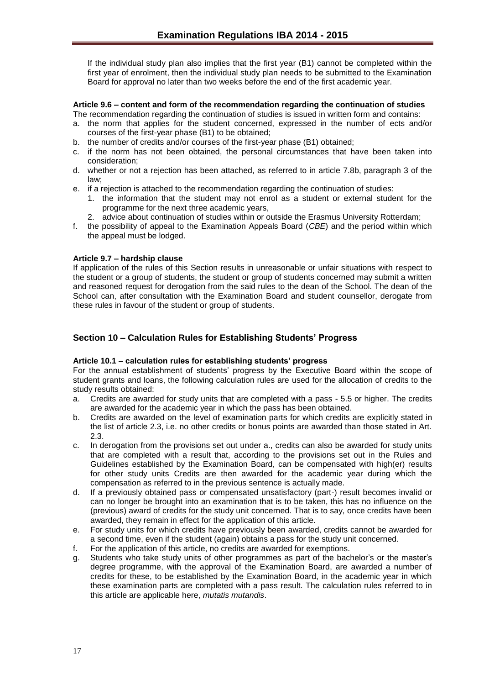If the individual study plan also implies that the first year (B1) cannot be completed within the first year of enrolment, then the individual study plan needs to be submitted to the Examination Board for approval no later than two weeks before the end of the first academic year.

#### <span id="page-16-0"></span>**Article 9.6 – content and form of the recommendation regarding the continuation of studies**

- The recommendation regarding the continuation of studies is issued in written form and contains:
- a. the norm that applies for the student concerned, expressed in the number of ects and/or courses of the first-year phase (B1) to be obtained;
- b. the number of credits and/or courses of the first-year phase (B1) obtained;
- c. if the norm has not been obtained, the personal circumstances that have been taken into consideration;
- d. whether or not a rejection has been attached, as referred to in article 7.8b, paragraph 3 of the law;
- e. if a rejection is attached to the recommendation regarding the continuation of studies:
	- 1. the information that the student may not enrol as a student or external student for the programme for the next three academic years,
	- 2. advice about continuation of studies within or outside the Erasmus University Rotterdam;
- f. the possibility of appeal to the Examination Appeals Board (*CBE*) and the period within which the appeal must be lodged.

#### <span id="page-16-1"></span>**Article 9.7 – hardship clause**

If application of the rules of this Section results in unreasonable or unfair situations with respect to the student or a group of students, the student or group of students concerned may submit a written and reasoned request for derogation from the said rules to the dean of the School. The dean of the School can, after consultation with the Examination Board and student counsellor, derogate from these rules in favour of the student or group of students.

# <span id="page-16-2"></span>**Section 10 – Calculation Rules for Establishing Students' Progress**

## <span id="page-16-3"></span>**Article 10.1 – calculation rules for establishing students' progress**

For the annual establishment of students' progress by the Executive Board within the scope of student grants and loans, the following calculation rules are used for the allocation of credits to the study results obtained:

- a. Credits are awarded for study units that are completed with a pass 5.5 or higher. The credits are awarded for the academic year in which the pass has been obtained.
- b. Credits are awarded on the level of examination parts for which credits are explicitly stated in the list of article 2.3, i.e. no other credits or bonus points are awarded than those stated in Art. 2.3.
- c. In derogation from the provisions set out under a., credits can also be awarded for study units that are completed with a result that, according to the provisions set out in the Rules and Guidelines established by the Examination Board, can be compensated with high(er) results for other study units Credits are then awarded for the academic year during which the compensation as referred to in the previous sentence is actually made.
- d. If a previously obtained pass or compensated unsatisfactory (part-) result becomes invalid or can no longer be brought into an examination that is to be taken, this has no influence on the (previous) award of credits for the study unit concerned. That is to say, once credits have been awarded, they remain in effect for the application of this article.
- e. For study units for which credits have previously been awarded, credits cannot be awarded for a second time, even if the student (again) obtains a pass for the study unit concerned.
- f. For the application of this article, no credits are awarded for exemptions.
- g. Students who take study units of other programmes as part of the bachelor's or the master's degree programme, with the approval of the Examination Board, are awarded a number of credits for these, to be established by the Examination Board, in the academic year in which these examination parts are completed with a pass result. The calculation rules referred to in this article are applicable here, *mutatis mutandis*.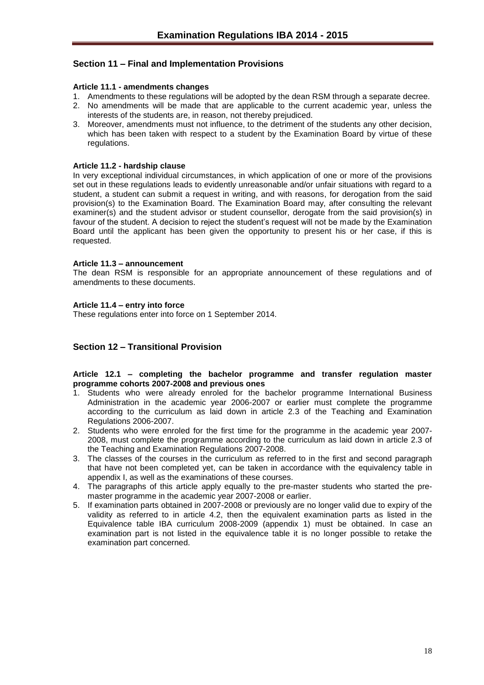# <span id="page-17-0"></span>**Section 11 – Final and Implementation Provisions**

#### <span id="page-17-1"></span>**Article 11.1 - amendments changes**

- 1. Amendments to these regulations will be adopted by the dean RSM through a separate decree.
- 2. No amendments will be made that are applicable to the current academic year, unless the interests of the students are, in reason, not thereby prejudiced.
- 3. Moreover, amendments must not influence, to the detriment of the students any other decision, which has been taken with respect to a student by the Examination Board by virtue of these regulations.

#### <span id="page-17-2"></span>**Article 11.2 - hardship clause**

In very exceptional individual circumstances, in which application of one or more of the provisions set out in these regulations leads to evidently unreasonable and/or unfair situations with regard to a student, a student can submit a request in writing, and with reasons, for derogation from the said provision(s) to the Examination Board. The Examination Board may, after consulting the relevant examiner(s) and the student advisor or student counsellor, derogate from the said provision(s) in favour of the student. A decision to reject the student's request will not be made by the Examination Board until the applicant has been given the opportunity to present his or her case, if this is requested.

#### <span id="page-17-3"></span>**Article 11.3 – announcement**

The dean RSM is responsible for an appropriate announcement of these regulations and of amendments to these documents.

#### <span id="page-17-4"></span>**Article 11.4 – entry into force**

These regulations enter into force on 1 September 2014.

## <span id="page-17-5"></span>**Section 12 – Transitional Provision**

#### <span id="page-17-6"></span>**Article 12.1 – completing the bachelor programme and transfer regulation master programme cohorts 2007-2008 and previous ones**

- 1. Students who were already enroled for the bachelor programme International Business Administration in the academic year 2006-2007 or earlier must complete the programme according to the curriculum as laid down in article 2.3 of the Teaching and Examination Regulations 2006-2007.
- 2. Students who were enroled for the first time for the programme in the academic year 2007- 2008, must complete the programme according to the curriculum as laid down in article 2.3 of the Teaching and Examination Regulations 2007-2008.
- 3. The classes of the courses in the curriculum as referred to in the first and second paragraph that have not been completed yet, can be taken in accordance with the equivalency table in appendix I, as well as the examinations of these courses.
- 4. The paragraphs of this article apply equally to the pre-master students who started the premaster programme in the academic year 2007-2008 or earlier.
- 5. If examination parts obtained in 2007-2008 or previously are no longer valid due to expiry of the validity as referred to in article 4.2, then the equivalent examination parts as listed in the Equivalence table IBA curriculum 2008-2009 (appendix 1) must be obtained. In case an examination part is not listed in the equivalence table it is no longer possible to retake the examination part concerned.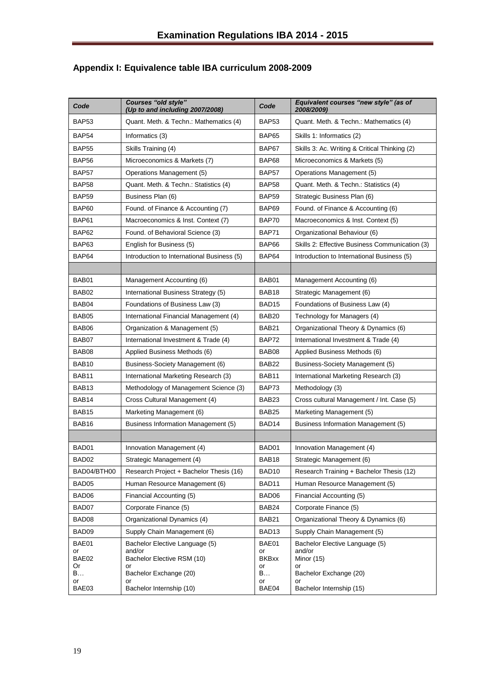| Code              | <b>Courses "old style"</b><br>(Up to and including 2007/2008) | Code               | Equivalent courses "new style" (as of<br>2008/2009) |
|-------------------|---------------------------------------------------------------|--------------------|-----------------------------------------------------|
| BAP <sub>53</sub> | Quant. Meth. & Techn.: Mathematics (4)                        | BAP53              | Quant. Meth. & Techn.: Mathematics (4)              |
| BAP54             | Informatics (3)                                               | <b>BAP65</b>       | Skills 1: Informatics (2)                           |
| <b>BAP55</b>      | Skills Training (4)                                           | BAP67              | Skills 3: Ac. Writing & Critical Thinking (2)       |
| BAP <sub>56</sub> | Microeconomics & Markets (7)                                  | BAP68              | Microeconomics & Markets (5)                        |
| BAP57             | Operations Management (5)                                     | BAP57              | Operations Management (5)                           |
| <b>BAP58</b>      | Quant. Meth. & Techn.: Statistics (4)                         | BAP58              | Quant. Meth. & Techn.: Statistics (4)               |
| <b>BAP59</b>      | Business Plan (6)                                             | <b>BAP59</b>       | Strategic Business Plan (6)                         |
| <b>BAP60</b>      | Found. of Finance & Accounting (7)                            | BAP69              | Found. of Finance & Accounting (6)                  |
| BAP61             | Macroeconomics & Inst. Context (7)                            | BAP70              | Macroeconomics & Inst. Context (5)                  |
| BAP62             | Found. of Behavioral Science (3)                              | BAP71              | Organizational Behaviour (6)                        |
| BAP63             | English for Business (5)                                      | BAP66              | Skills 2: Effective Business Communication (3)      |
| BAP64             | Introduction to International Business (5)                    | BAP64              | Introduction to International Business (5)          |
|                   |                                                               |                    |                                                     |
| BAB01             | Management Accounting (6)                                     | BAB01              | Management Accounting (6)                           |
| BAB02             | International Business Strategy (5)                           | BAB18              | Strategic Management (6)                            |
| BAB04             | Foundations of Business Law (3)                               | BAD <sub>15</sub>  | Foundations of Business Law (4)                     |
| BAB05             | International Financial Management (4)                        | BAB <sub>20</sub>  | Technology for Managers (4)                         |
| BAB06             | Organization & Management (5)                                 | BAB21              | Organizational Theory & Dynamics (6)                |
| BAB07             | International Investment & Trade (4)                          | BAP72              | International Investment & Trade (4)                |
| BAB08             | Applied Business Methods (6)                                  | BAB08              | Applied Business Methods (6)                        |
| BAB10             | Business-Society Management (6)                               | BAB22              | Business-Society Management (5)                     |
| BAB11             | International Marketing Research (3)                          | BAB11              | International Marketing Research (3)                |
| BAB <sub>13</sub> | Methodology of Management Science (3)                         | BAP73              | Methodology (3)                                     |
| BAB14             | Cross Cultural Management (4)                                 | BAB <sub>23</sub>  | Cross cultural Management / Int. Case (5)           |
| BAB <sub>15</sub> | Marketing Management (6)                                      | BAB <sub>25</sub>  | Marketing Management (5)                            |
| BAB <sub>16</sub> | Business Information Management (5)                           | BAD14              | Business Information Management (5)                 |
|                   |                                                               |                    |                                                     |
| BAD01             | Innovation Management (4)                                     | BAD01              | Innovation Management (4)                           |
| BAD02             | Strategic Management (4)                                      | BAB18              | Strategic Management (6)                            |
| BAD04/BTH00       | Research Project + Bachelor Thesis (16)                       | BAD <sub>10</sub>  | Research Training + Bachelor Thesis (12)            |
| BAD05             | Human Resource Management (6)                                 | BAD11              | Human Resource Management (5)                       |
| BAD06             | Financial Accounting (5)                                      | BAD06              | Financial Accounting (5)                            |
| BAD07             | Corporate Finance (5)                                         | BAB24              | Corporate Finance (5)                               |
| BAD08             | Organizational Dynamics (4)                                   | BAB21              | Organizational Theory & Dynamics (6)                |
| BAD09             | Supply Chain Management (6)                                   | BAD <sub>13</sub>  | Supply Chain Management (5)                         |
| BAE01             | Bachelor Elective Language (5)                                | BAE01              | Bachelor Elective Language (5)                      |
| or<br>BAE02       | and/or<br>Bachelor Elective RSM (10)                          | or<br><b>BKBxx</b> | and/or<br>Minor (15)                                |
| Or<br>B           | or<br>Bachelor Exchange (20)                                  | or<br>B            | or<br>Bachelor Exchange (20)                        |
| or                | or                                                            | or                 | or                                                  |
| BAE03             | Bachelor Internship (10)                                      | BAE04              | Bachelor Internship (15)                            |

# <span id="page-18-0"></span>**Appendix I: Equivalence table IBA curriculum 2008-2009**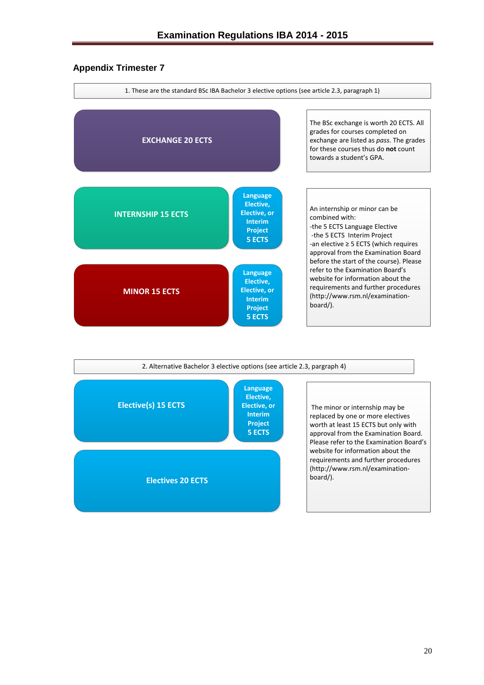# <span id="page-19-0"></span>**Appendix Trimester 7**



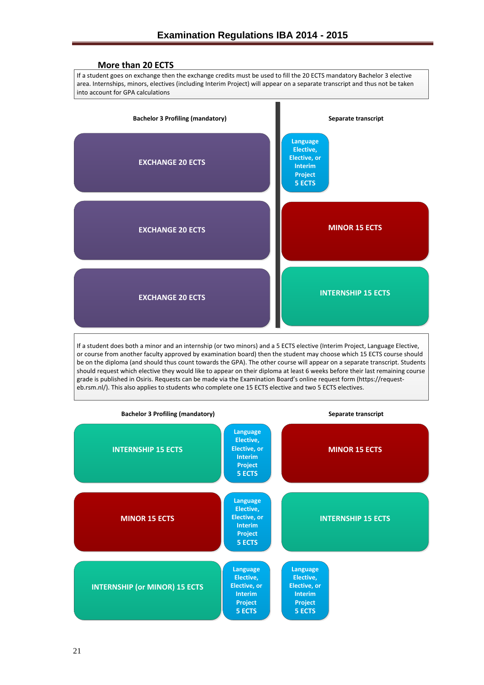

be on the diploma (and should thus count towards the GPA). The other course will appear on a separate transcript. Students should request which elective they would like to appear on their diploma at least 6 weeks before their last remaining course grade is published in Osiris. Requests can be made via the Examination Board's online request form (https://request eb.rsm.nl/). This also applies to students who complete one 15 ECTS elective and two 5 ECTS electives.

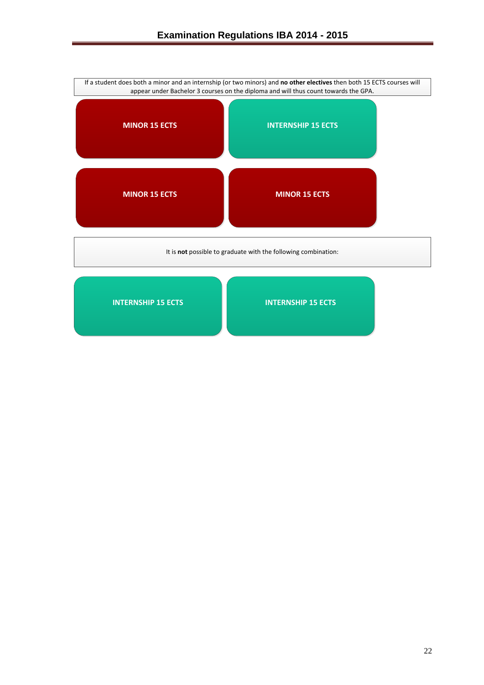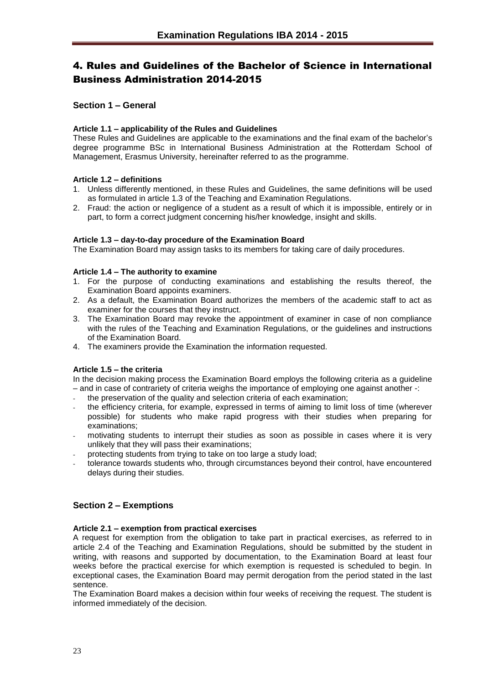# <span id="page-22-0"></span>4. Rules and Guidelines of the Bachelor of Science in International Business Administration 2014-2015

# <span id="page-22-1"></span>**Section 1 – General**

#### <span id="page-22-2"></span>**Article 1.1 – applicability of the Rules and Guidelines**

These Rules and Guidelines are applicable to the examinations and the final exam of the bachelor's degree programme BSc in International Business Administration at the Rotterdam School of Management, Erasmus University, hereinafter referred to as the programme.

## <span id="page-22-3"></span>**Article 1.2 – definitions**

- 1. Unless differently mentioned, in these Rules and Guidelines, the same definitions will be used as formulated in article 1.3 of the Teaching and Examination Regulations.
- 2. Fraud: the action or negligence of a student as a result of which it is impossible, entirely or in part, to form a correct judgment concerning his/her knowledge, insight and skills.

#### <span id="page-22-4"></span>**Article 1.3 – day-to-day procedure of the Examination Board**

The Examination Board may assign tasks to its members for taking care of daily procedures.

#### <span id="page-22-5"></span>**Article 1.4 – The authority to examine**

- 1. For the purpose of conducting examinations and establishing the results thereof, the Examination Board appoints examiners.
- 2. As a default, the Examination Board authorizes the members of the academic staff to act as examiner for the courses that they instruct.
- 3. The Examination Board may revoke the appointment of examiner in case of non compliance with the rules of the Teaching and Examination Regulations, or the guidelines and instructions of the Examination Board.
- 4. The examiners provide the Examination the information requested.

## <span id="page-22-6"></span>**Article 1.5 – the criteria**

In the decision making process the Examination Board employs the following criteria as a guideline – and in case of contrariety of criteria weighs the importance of employing one against another -:

- the preservation of the quality and selection criteria of each examination;
- the efficiency criteria, for example, expressed in terms of aiming to limit loss of time (wherever possible) for students who make rapid progress with their studies when preparing for examinations;
- motivating students to interrupt their studies as soon as possible in cases where it is very unlikely that they will pass their examinations;
- protecting students from trying to take on too large a study load;
- tolerance towards students who, through circumstances beyond their control, have encountered delays during their studies.

# <span id="page-22-7"></span>**Section 2 – Exemptions**

#### <span id="page-22-8"></span>**Article 2.1 – exemption from practical exercises**

A request for exemption from the obligation to take part in practical exercises, as referred to in article 2.4 of the Teaching and Examination Regulations, should be submitted by the student in writing, with reasons and supported by documentation, to the Examination Board at least four weeks before the practical exercise for which exemption is requested is scheduled to begin. In exceptional cases, the Examination Board may permit derogation from the period stated in the last sentence.

The Examination Board makes a decision within four weeks of receiving the request. The student is informed immediately of the decision.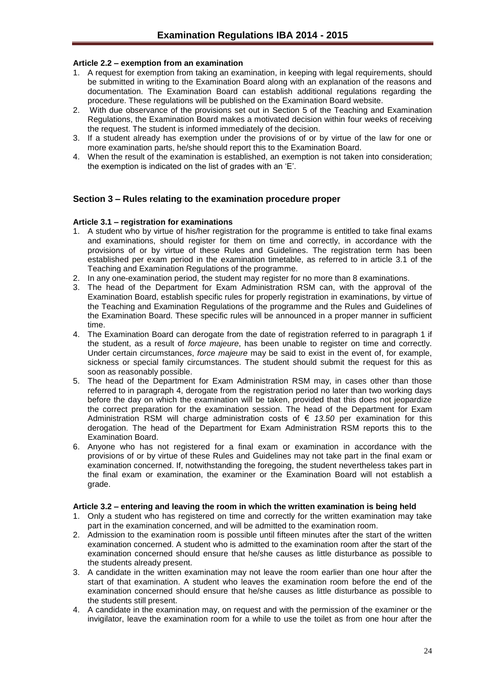## <span id="page-23-0"></span>**Article 2.2 – exemption from an examination**

- 1. A request for exemption from taking an examination, in keeping with legal requirements, should be submitted in writing to the Examination Board along with an explanation of the reasons and documentation. The Examination Board can establish additional regulations regarding the procedure. These regulations will be published on the Examination Board website.
- 2. With due observance of the provisions set out in Section 5 of the Teaching and Examination Regulations, the Examination Board makes a motivated decision within four weeks of receiving the request. The student is informed immediately of the decision.
- 3. If a student already has exemption under the provisions of or by virtue of the law for one or more examination parts, he/she should report this to the Examination Board.
- 4. When the result of the examination is established, an exemption is not taken into consideration; the exemption is indicated on the list of grades with an 'E'.

# <span id="page-23-1"></span>**Section 3 – Rules relating to the examination procedure proper**

#### <span id="page-23-2"></span>**Article 3.1 – registration for examinations**

- 1. A student who by virtue of his/her registration for the programme is entitled to take final exams and examinations, should register for them on time and correctly, in accordance with the provisions of or by virtue of these Rules and Guidelines. The registration term has been established per exam period in the examination timetable, as referred to in article 3.1 of the Teaching and Examination Regulations of the programme.
- 2. In any one-examination period, the student may register for no more than 8 examinations.
- 3. The head of the Department for Exam Administration RSM can, with the approval of the Examination Board, establish specific rules for properly registration in examinations, by virtue of the Teaching and Examination Regulations of the programme and the Rules and Guidelines of the Examination Board. These specific rules will be announced in a proper manner in sufficient time.
- 4. The Examination Board can derogate from the date of registration referred to in paragraph 1 if the student, as a result of *force majeure*, has been unable to register on time and correctly. Under certain circumstances, *force majeure* may be said to exist in the event of, for example, sickness or special family circumstances. The student should submit the request for this as soon as reasonably possible.
- 5. The head of the Department for Exam Administration RSM may, in cases other than those referred to in paragraph 4, derogate from the registration period no later than two working days before the day on which the examination will be taken, provided that this does not jeopardize the correct preparation for the examination session. The head of the Department for Exam Administration RSM will charge administration costs of € *13.50* per examination for this derogation. The head of the Department for Exam Administration RSM reports this to the Examination Board.
- 6. Anyone who has not registered for a final exam or examination in accordance with the provisions of or by virtue of these Rules and Guidelines may not take part in the final exam or examination concerned. If, notwithstanding the foregoing, the student nevertheless takes part in the final exam or examination, the examiner or the Examination Board will not establish a grade.

#### <span id="page-23-3"></span>**Article 3.2 – entering and leaving the room in which the written examination is being held**

- 1. Only a student who has registered on time and correctly for the written examination may take part in the examination concerned, and will be admitted to the examination room.
- 2. Admission to the examination room is possible until fifteen minutes after the start of the written examination concerned. A student who is admitted to the examination room after the start of the examination concerned should ensure that he/she causes as little disturbance as possible to the students already present.
- 3. A candidate in the written examination may not leave the room earlier than one hour after the start of that examination. A student who leaves the examination room before the end of the examination concerned should ensure that he/she causes as little disturbance as possible to the students still present.
- 4. A candidate in the examination may, on request and with the permission of the examiner or the invigilator, leave the examination room for a while to use the toilet as from one hour after the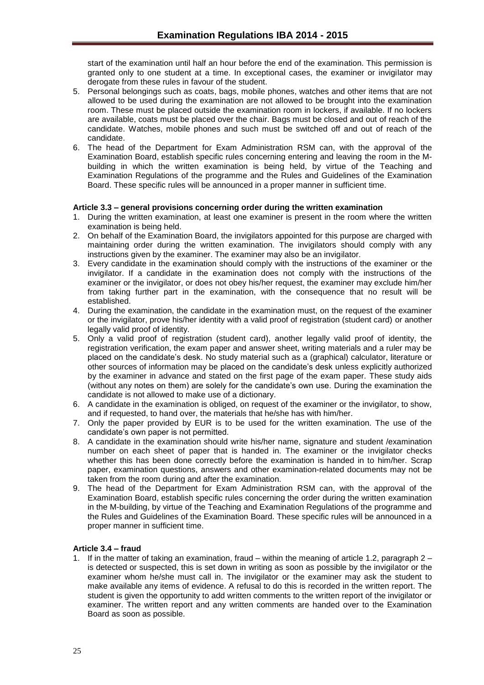start of the examination until half an hour before the end of the examination. This permission is granted only to one student at a time. In exceptional cases, the examiner or invigilator may derogate from these rules in favour of the student.

- 5. Personal belongings such as coats, bags, mobile phones, watches and other items that are not allowed to be used during the examination are not allowed to be brought into the examination room. These must be placed outside the examination room in lockers, if available. If no lockers are available, coats must be placed over the chair. Bags must be closed and out of reach of the candidate. Watches, mobile phones and such must be switched off and out of reach of the candidate.
- 6. The head of the Department for Exam Administration RSM can, with the approval of the Examination Board, establish specific rules concerning entering and leaving the room in the Mbuilding in which the written examination is being held, by virtue of the Teaching and Examination Regulations of the programme and the Rules and Guidelines of the Examination Board. These specific rules will be announced in a proper manner in sufficient time.

## <span id="page-24-0"></span>**Article 3.3 – general provisions concerning order during the written examination**

- 1. During the written examination, at least one examiner is present in the room where the written examination is being held.
- 2. On behalf of the Examination Board, the invigilators appointed for this purpose are charged with maintaining order during the written examination. The invigilators should comply with any instructions given by the examiner. The examiner may also be an invigilator.
- 3. Every candidate in the examination should comply with the instructions of the examiner or the invigilator. If a candidate in the examination does not comply with the instructions of the examiner or the invigilator, or does not obey his/her request, the examiner may exclude him/her from taking further part in the examination, with the consequence that no result will be established.
- 4. During the examination, the candidate in the examination must, on the request of the examiner or the invigilator, prove his/her identity with a valid proof of registration (student card) or another legally valid proof of identity.
- 5. Only a valid proof of registration (student card), another legally valid proof of identity, the registration verification, the exam paper and answer sheet, writing materials and a ruler may be placed on the candidate's desk. No study material such as a (graphical) calculator, literature or other sources of information may be placed on the candidate's desk unless explicitly authorized by the examiner in advance and stated on the first page of the exam paper. These study aids (without any notes on them) are solely for the candidate's own use. During the examination the candidate is not allowed to make use of a dictionary.
- 6. A candidate in the examination is obliged, on request of the examiner or the invigilator, to show, and if requested, to hand over, the materials that he/she has with him/her.
- 7. Only the paper provided by EUR is to be used for the written examination. The use of the candidate's own paper is not permitted.
- 8. A candidate in the examination should write his/her name, signature and student /examination number on each sheet of paper that is handed in. The examiner or the invigilator checks whether this has been done correctly before the examination is handed in to him/her. Scrap paper, examination questions, answers and other examination-related documents may not be taken from the room during and after the examination.
- 9. The head of the Department for Exam Administration RSM can, with the approval of the Examination Board, establish specific rules concerning the order during the written examination in the M-building, by virtue of the Teaching and Examination Regulations of the programme and the Rules and Guidelines of the Examination Board. These specific rules will be announced in a proper manner in sufficient time.

#### <span id="page-24-1"></span>**Article 3.4 – fraud**

1. If in the matter of taking an examination, fraud – within the meaning of article 1.2, paragraph 2 – is detected or suspected, this is set down in writing as soon as possible by the invigilator or the examiner whom he/she must call in. The invigilator or the examiner may ask the student to make available any items of evidence. A refusal to do this is recorded in the written report. The student is given the opportunity to add written comments to the written report of the invigilator or examiner. The written report and any written comments are handed over to the Examination Board as soon as possible.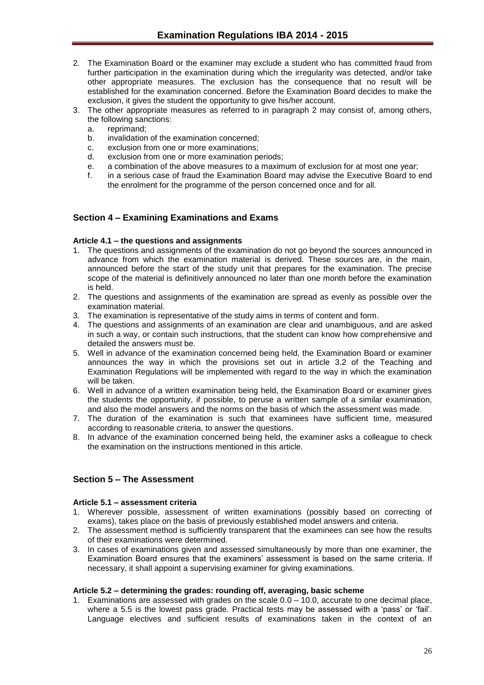- 2. The Examination Board or the examiner may exclude a student who has committed fraud from further participation in the examination during which the irregularity was detected, and/or take other appropriate measures. The exclusion has the consequence that no result will be established for the examination concerned. Before the Examination Board decides to make the exclusion, it gives the student the opportunity to give his/her account.
- 3. The other appropriate measures as referred to in paragraph 2 may consist of, among others, the following sanctions:
	- a. reprimand;
	- b. invalidation of the examination concerned;
	- c. exclusion from one or more examinations;
	- d. exclusion from one or more examination periods;
	- e. a combination of the above measures to a maximum of exclusion for at most one year;
	- f. in a serious case of fraud the Examination Board may advise the Executive Board to end the enrolment for the programme of the person concerned once and for all.

# <span id="page-25-0"></span>**Section 4 – Examining Examinations and Exams**

## <span id="page-25-1"></span>**Article 4.1 – the questions and assignments**

- 1. The questions and assignments of the examination do not go beyond the sources announced in advance from which the examination material is derived. These sources are, in the main, announced before the start of the study unit that prepares for the examination. The precise scope of the material is definitively announced no later than one month before the examination is held.
- 2. The questions and assignments of the examination are spread as evenly as possible over the examination material.
- 3. The examination is representative of the study aims in terms of content and form.
- 4. The questions and assignments of an examination are clear and unambiguous, and are asked in such a way, or contain such instructions, that the student can know how comprehensive and detailed the answers must be.
- 5. Well in advance of the examination concerned being held, the Examination Board or examiner announces the way in which the provisions set out in article 3.2 of the Teaching and Examination Regulations will be implemented with regard to the way in which the examination will be taken.
- 6. Well in advance of a written examination being held, the Examination Board or examiner gives the students the opportunity, if possible, to peruse a written sample of a similar examination, and also the model answers and the norms on the basis of which the assessment was made.
- 7. The duration of the examination is such that examinees have sufficient time, measured according to reasonable criteria, to answer the questions.
- 8. In advance of the examination concerned being held, the examiner asks a colleague to check the examination on the instructions mentioned in this article.

# <span id="page-25-2"></span>**Section 5 – The Assessment**

#### <span id="page-25-3"></span>**Article 5.1 – assessment criteria**

- 1. Wherever possible, assessment of written examinations (possibly based on correcting of exams), takes place on the basis of previously established model answers and criteria.
- 2. The assessment method is sufficiently transparent that the examinees can see how the results of their examinations were determined.
- 3. In cases of examinations given and assessed simultaneously by more than one examiner, the Examination Board ensures that the examiners' assessment is based on the same criteria. If necessary, it shall appoint a supervising examiner for giving examinations.

#### <span id="page-25-4"></span>**Article 5.2 – determining the grades: rounding off, averaging, basic scheme**

1. Examinations are assessed with grades on the scale 0.0 – 10.0, accurate to one decimal place, where a 5.5 is the lowest pass grade. Practical tests may be assessed with a 'pass' or 'fail'. Language electives and sufficient results of examinations taken in the context of an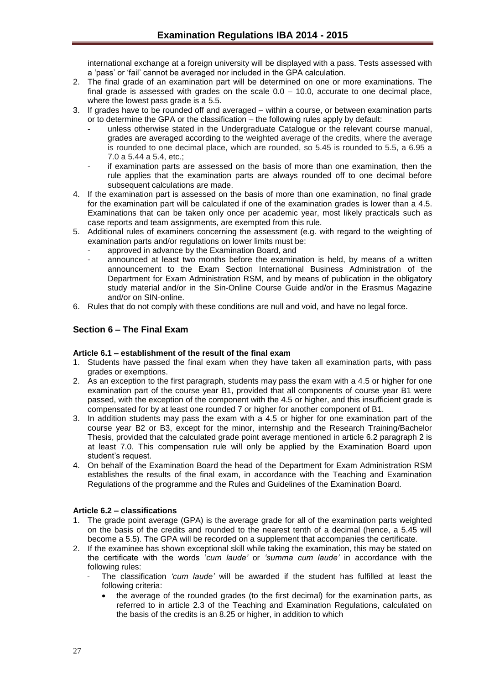international exchange at a foreign university will be displayed with a pass. Tests assessed with a 'pass' or 'fail' cannot be averaged nor included in the GPA calculation.

- 2. The final grade of an examination part will be determined on one or more examinations. The final grade is assessed with grades on the scale 0.0 – 10.0, accurate to one decimal place, where the lowest pass grade is a 5.5.
- 3. If grades have to be rounded off and averaged within a course, or between examination parts or to determine the GPA or the classification – the following rules apply by default:
	- unless otherwise stated in the Undergraduate Catalogue or the relevant course manual, grades are averaged according to the weighted average of the credits, where the average is rounded to one decimal place, which are rounded, so 5.45 is rounded to 5.5, a 6.95 a 7.0 a 5.44 a 5.4, etc.;
	- if examination parts are assessed on the basis of more than one examination, then the rule applies that the examination parts are always rounded off to one decimal before subsequent calculations are made.
- 4. If the examination part is assessed on the basis of more than one examination, no final grade for the examination part will be calculated if one of the examination grades is lower than a 4.5. Examinations that can be taken only once per academic year, most likely practicals such as case reports and team assignments, are exempted from this rule.
- 5. Additional rules of examiners concerning the assessment (e.g. with regard to the weighting of examination parts and/or regulations on lower limits must be:
	- approved in advance by the Examination Board, and
	- announced at least two months before the examination is held, by means of a written announcement to the Exam Section International Business Administration of the Department for Exam Administration RSM, and by means of publication in the obligatory study material and/or in the Sin-Online Course Guide and/or in the Erasmus Magazine and/or on SIN-online.
- 6. Rules that do not comply with these conditions are null and void, and have no legal force.

# <span id="page-26-0"></span>**Section 6 – The Final Exam**

## <span id="page-26-1"></span>**Article 6.1 – establishment of the result of the final exam**

- 1. Students have passed the final exam when they have taken all examination parts, with pass grades or exemptions.
- 2. As an exception to the first paragraph, students may pass the exam with a 4.5 or higher for one examination part of the course year B1, provided that all components of course year B1 were passed, with the exception of the component with the 4.5 or higher, and this insufficient grade is compensated for by at least one rounded 7 or higher for another component of B1.
- 3. In addition students may pass the exam with a 4.5 or higher for one examination part of the course year B2 or B3, except for the minor, internship and the Research Training/Bachelor Thesis, provided that the calculated grade point average mentioned in article 6.2 paragraph 2 is at least 7.0. This compensation rule will only be applied by the Examination Board upon student's request.
- 4. On behalf of the Examination Board the head of the Department for Exam Administration RSM establishes the results of the final exam, in accordance with the Teaching and Examination Regulations of the programme and the Rules and Guidelines of the Examination Board.

## <span id="page-26-2"></span>**Article 6.2 – classifications**

- 1. The grade point average (GPA) is the average grade for all of the examination parts weighted on the basis of the credits and rounded to the nearest tenth of a decimal (hence, a 5.45 will become a 5.5). The GPA will be recorded on a supplement that accompanies the certificate.
- 2. If the examinee has shown exceptional skill while taking the examination, this may be stated on the certificate with the words '*cum laude'* or *'summa cum laude'* in accordance with the following rules:
	- The classification *'cum laude'* will be awarded if the student has fulfilled at least the following criteria:
		- the average of the rounded grades (to the first decimal) for the examination parts, as referred to in article 2.3 of the Teaching and Examination Regulations, calculated on the basis of the credits is an 8.25 or higher, in addition to which